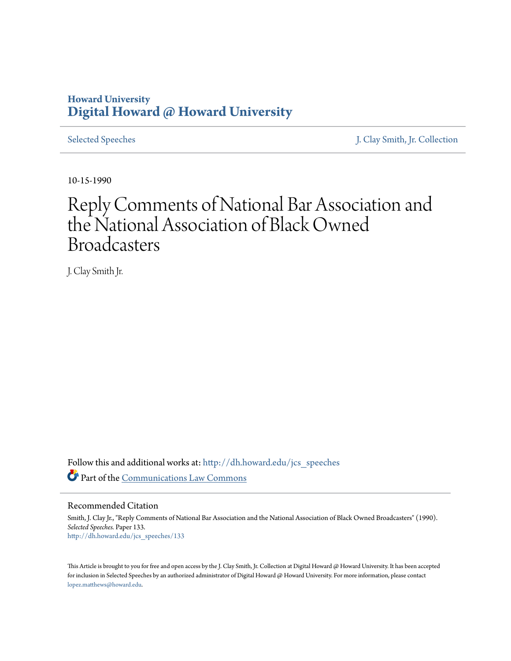### **Howard University [Digital Howard @ Howard University](http://dh.howard.edu?utm_source=dh.howard.edu%2Fjcs_speeches%2F133&utm_medium=PDF&utm_campaign=PDFCoverPages)**

[Selected Speeches](http://dh.howard.edu/jcs_speeches?utm_source=dh.howard.edu%2Fjcs_speeches%2F133&utm_medium=PDF&utm_campaign=PDFCoverPages) [J. Clay Smith, Jr. Collection](http://dh.howard.edu/jcsmith?utm_source=dh.howard.edu%2Fjcs_speeches%2F133&utm_medium=PDF&utm_campaign=PDFCoverPages)

10-15-1990

# Reply Comments of National Bar Association and the National Association of Black Owned Broadcasters

J. Clay Smith Jr.

Follow this and additional works at: [http://dh.howard.edu/jcs\\_speeches](http://dh.howard.edu/jcs_speeches?utm_source=dh.howard.edu%2Fjcs_speeches%2F133&utm_medium=PDF&utm_campaign=PDFCoverPages) Part of the [Communications Law Commons](http://network.bepress.com/hgg/discipline/587?utm_source=dh.howard.edu%2Fjcs_speeches%2F133&utm_medium=PDF&utm_campaign=PDFCoverPages)

Recommended Citation

Smith, J. Clay Jr., "Reply Comments of National Bar Association and the National Association of Black Owned Broadcasters" (1990). *Selected Speeches.* Paper 133. [http://dh.howard.edu/jcs\\_speeches/133](http://dh.howard.edu/jcs_speeches/133?utm_source=dh.howard.edu%2Fjcs_speeches%2F133&utm_medium=PDF&utm_campaign=PDFCoverPages)

This Article is brought to you for free and open access by the J. Clay Smith, Jr. Collection at Digital Howard @ Howard University. It has been accepted for inclusion in Selected Speeches by an authorized administrator of Digital Howard @ Howard University. For more information, please contact [lopez.matthews@howard.edu.](mailto:lopez.matthews@howard.edu)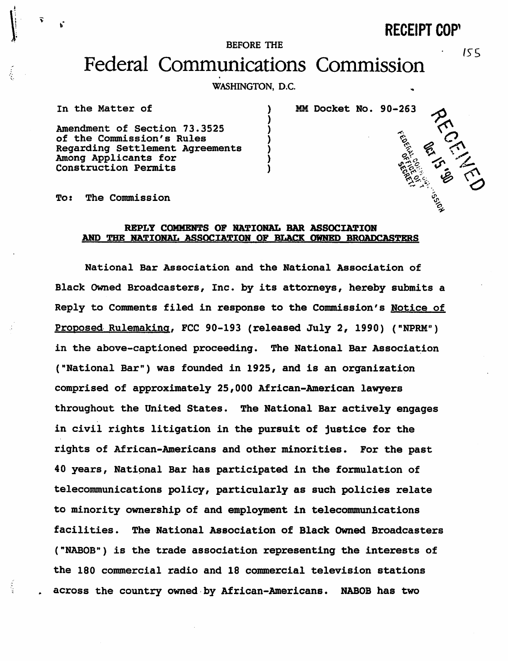**RECEIPT COP'** 

155

AND MELTING

#### BEFORE THE

## Federal Communications Commission

WASHINGTON, D.C.

) ) ) ) ) ) )

In the Matter of

MM Docket No. 90-263

Amendment of Section 73.3525 of the Commission's Rules Regarding Settlement Agreements Among Applicants for Construction Permits

To: The Commission

### REPLY COMMENTS OF NATIONAL BAR ASSOCIATION AND THE RATIONAL ASSOC:IATIOH OF BLACK OWRBD BROADCASTERS

National Bar Association and the National Association of Slack Owned Broadcasters, Inc. by its attorneys, hereby submits a Reply to Comments filed in response to the Commission's Notice of Proposed. Rulemaking, FCC 90-193 (released July 2, 1990) ("NPRM") in the above-captioned proceeding. The National Bar Association ("National Bar") was founded in 1925, and is an organization comprised of approximately 25,000 African-American lawyers throughout the United States. The National Sar actively engages in civil rights litigation in the pursuit of justice for the rights of African-Americans and other minorities. For the past 40 years, National Bar has participated in the formulation of telecommunications policy, particularly as such policies relate to minority ownership of and employment in telecommunications facilities. The National Association of Black Owned Broadcasters ("NABOS") is the trade association representing the interests of the 180 commercial radio and 18 commercial television stations across the country owned·by African-Americans. NABOB has two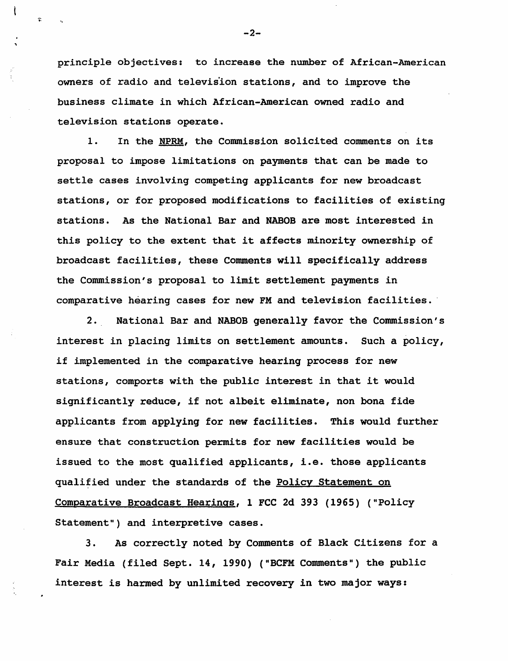principle objectives: to increase the number of African-American owners of radio and television stations, and to improve the business climate in which African-American owned radio and television stations operate.

1. In the NPRM, the Commission solicited comments on its proposal to impose limitations on payments that can be made to settle cases involving competing applicants for new broadcast stations, or for proposed modifications to facilities of existing stations. As the National Bar and NABOB are most interested in this policy to the extent that it affects minority ownership of broadcast facilities, these Comments will specifically address the Commission's proposal to limit settlement payments in comparative hearing cases for new FM and television facilities.

2. National Bar and NABOB generally favor the Commission's interest in placing limits on settlement amounts. Such a policy, if implemented in the comparative hearing process for new stations, comports with the public interest in that it would significantly reduce, if not albeit eliminate, non bona fide applicants from applying for new facilities. This would further ensure that construction permits for new facilities would be issued to the most qualified applicants, i.e. those applicants qualified under the standards of the Policy Statement on Comparative Broadcast Hearings, 1 FCC 2d 393 (1965) ("policy Statement") and interpretive cases.

3. As correctly noted by Comments of Black Citizens for a Fair Media (filed Sept. 14, 1990) ("BCFM Comments") the public interest is harmed by unlimited recovery *in* two major ways:

 $-2-$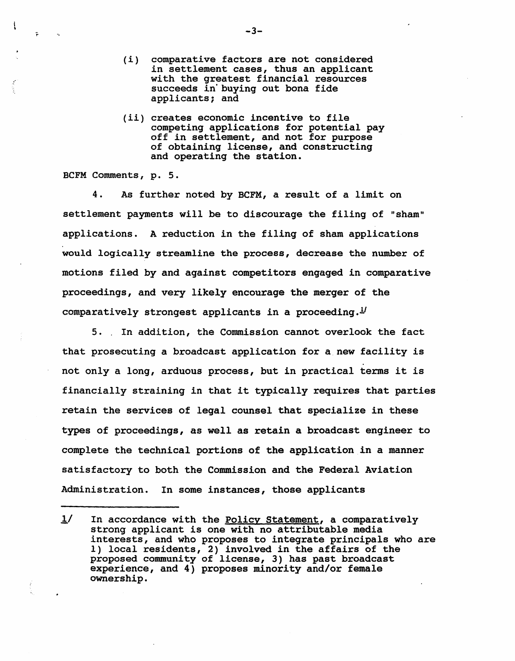- (i) comparative factors are not considered in settlement cases, thus an applicant with the greatest financial resources succeeds in'buying out bona fide applicants; and
- (11) creates economic incentive to file competing applications for potential pay off in settlement, and not for purpose of obtaining license, and constructing and operating the station.

BCFM Comments, p. 5.

j

4. As further noted by BCFM, a result of a limit on settlement payments will be to discourage the filing of "sham" applications. A reduction in the filing of sham applications would logically streamline the process, decrease the number of motions filed by and against competitors engaged in comparative proceedings, and very likely encourage the merger of the comparatively strongest applicants in a proceeding. $\frac{1}{2}$ 

5 .. In addition, the Commission cannot overlook the fact that prosecuting a broadcast application for a new facility is not only a long, arduous process, but in practical terms it *is*  financially straining *in* that it typically requires that parties retain the services of legal counsel that specialize in these types of proceedings, as well as retain a broadcast engineer to complete the technical portions of the application in a manner satisfactory to both the Commission and the Federal Aviation Administration. In some instances, those applicants

 $-3-$ 

 $1/$  In accordance with the Policy Statement, a comparatively strong applicant is one with no attributable media interests, and who proposes to integrate principals who are 1) local residents, 2) involved in the affairs of the proposed community of license, 3) has past broadcast experience, and 4) proposes minority and/or female ownership.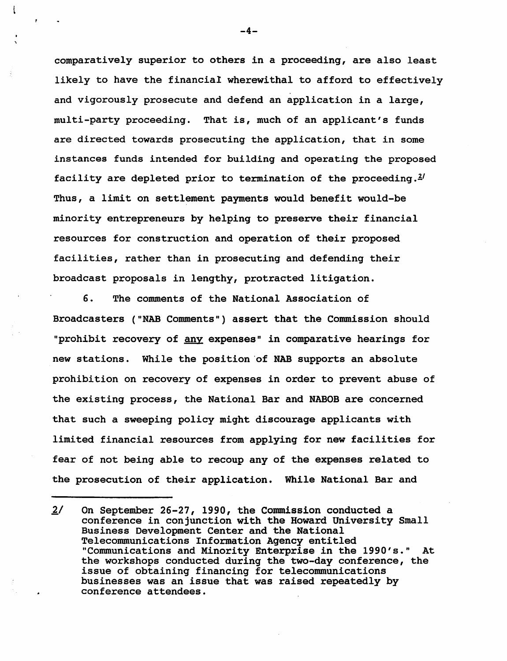comparatively superior to others in a proceeding, are also least likely to have the financial wherewithal to afford to effectively and vigorously prosecute and defend an application in a large, multi-party proceeding. That is, much of an applicant's funds are directed towards prosecuting the application, that in some instances funds intended for building and operating the proposed facility are depleted prior to termination of the proceeding. $2^I$ Thus, a limit on settlement payments would benefit would-be minority entrepreneurs by helping to preserve their financial resources for construction and operation of their proposed facilities, rather than *in* prosecuting and defending their broadcast proposals in lengthy, protracted litigation.

6. The comments of the National Association of Broadcasters ("NAB Comments") assert that the Commission should "prohibit recovery of any expenses" in comparative hearings for new stations. While the position of NAB supports an absolute prohibition on recovery of expenses in order to prevent abuse of the existing process, the National Bar and NABOB are concerned that such a sweeping policy might discourage applicants with limited financial resources from applying for new facilities for fear of not being able to recoup any of the expenses related to the prosecution of their application. While National Bar and

 $-4-$ 

 $2/$  On September 26-27, 1990, the Commission conducted a conference in conjunction with the Howard University Small Business Development Center and the National Telecommunications Information Agency entitled "Communications and Minority Enterprise in the 1990's." At the workshops conducted during the two-day conference, the issue of obtaining financing for telecommunications businesses was an issue that was raised repeatedly by conference attendees.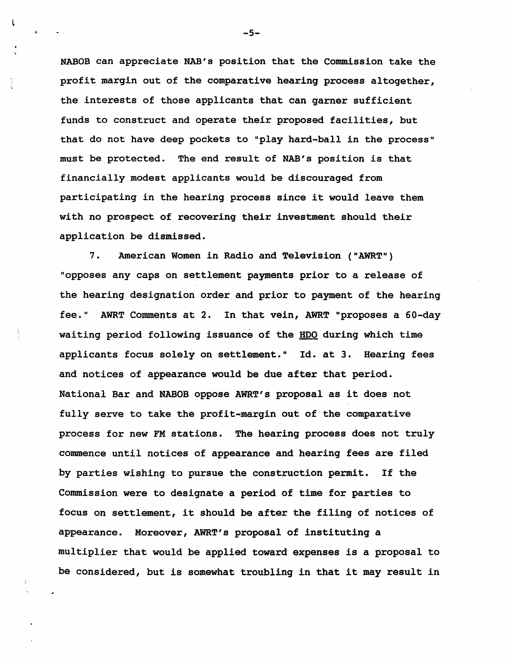NABOB can appreciate NAB's position that the Commission take the profit margin out of the comparative hearing process altogether, the interests of those applicants that can garner sufficient funds to construct and operate their proposed facilities, but that do not have deep pockets to "play hard-ball in the process" must be protected. The end result of NAB's position is that financially modest applicants would be discouraged from participating *in* the hearing process since it would leave them with no prospect of recovering their investment should their application be dismissed.

7. American Women in Radio and Television ("AWRT") "opposes any caps on settlement payments prior to a release of the hearing designation order and prior to payment of the hearing fee." AWRT Comments at 2. In that vein, AWRT "proposes a 60-day waiting period following issuance of the HDO during which time applicants focus solely on settlement." Id. at 3. Hearing fees and notices of appearance would be due after that period. National Bar and NABOB oppose AWRT's proposal as it does not fully serve to take the profit-margin out of the comparative process for new FM stations. The hearing process does not truly commence until notices of appearance and hearing fees are filed by parties wishing to pursue the construction permit. If the Commission were to designate a period of time for parties to focus on settlement, it should be after the filing of notices of appearance. Moreover, AWRT's proposal of instituting a multiplier that would be applied toward expenses is a proposal to be considered, but is somewhat troubling in that it may result in

-5-

 $\mathsf{L}$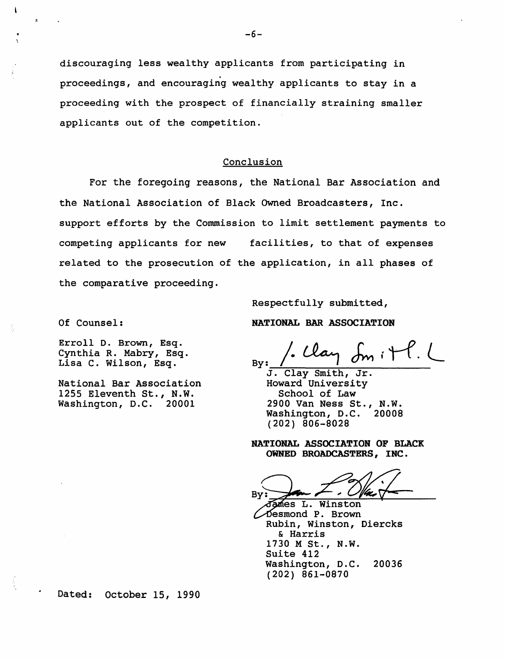discouraging less wealthy applicants from participating in proceedings, and encouraging wealthy applicants to stay *in* a proceeding with the prospect of financially straining smaller applicants out of the competition.

### Conclusion

For the foregoing reasons, the National Bar Association and the National Association of Black Owned Broadcasters, Inc. support efforts by the Commission to limit settlement payments to competing applicants for new facilities, to that of expenses related to the prosecution of the application, in all phases of the comparative proceeding.

Of Counsel:

 $\mathbf{I}$ 

Erroll D. Brown, Esq. Cynthia R. Mabry, Esq. Lisa C. Wilson, Esq.

National Bar Association 1255 Eleventh St., N.W. Washington, D.C. 20001

Respectfully submitted, NATIONAL BAR ASSOCIATION

 $\epsilon_{\rm By}:$  / clay  $\delta_{\rm m}:$  +  $\ell$ . By:  $\frac{1}{J}$ . Clay Smith, Jr.

Howard University School of Law 2900 Van Ness St., N.W. Washington, D.C. (202) 806-8028

NATIONAL ASSOCIATION OF BLACK OWNED BROADCASTERS, INC.

Bγ

James L. Winston esmond P. Brown Rubin, Winston, Diercks & Harris 1730 M St., N.W. Suite 412 Washington, D.C. 20036 (202) 861-0870

Dated: October 15, 1990